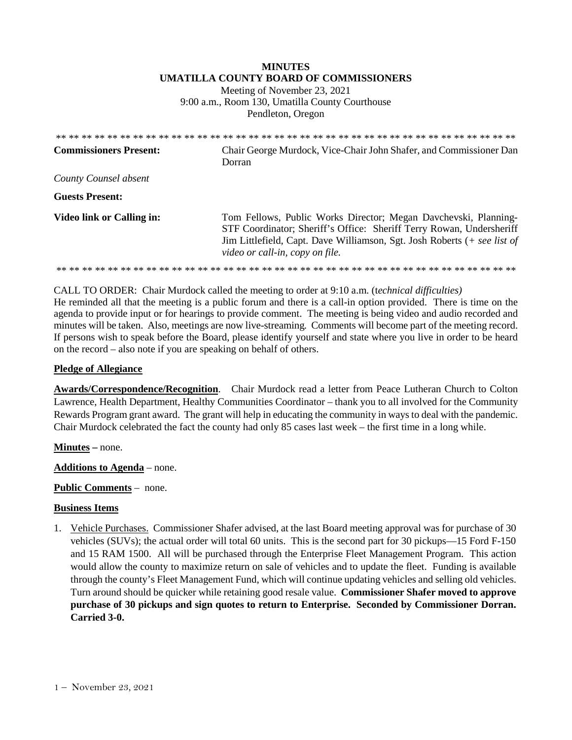## **MINUTES UMATILLA COUNTY BOARD OF COMMISSIONERS**

Meeting of November 23, 2021 9:00 a.m., Room 130, Umatilla County Courthouse Pendleton, Oregon

| <b>Commissioners Present:</b>    | Chair George Murdock, Vice-Chair John Shafer, and Commissioner Dan<br>Dorran                                                                                                                                                                           |
|----------------------------------|--------------------------------------------------------------------------------------------------------------------------------------------------------------------------------------------------------------------------------------------------------|
| County Counsel absent            |                                                                                                                                                                                                                                                        |
| <b>Guests Present:</b>           |                                                                                                                                                                                                                                                        |
| <b>Video link or Calling in:</b> | Tom Fellows, Public Works Director; Megan Davchevski, Planning-<br>STF Coordinator; Sheriff's Office: Sheriff Terry Rowan, Undersheriff<br>Jim Littlefield, Capt. Dave Williamson, Sgt. Josh Roberts (+ see list of<br>video or call-in, copy on file. |
|                                  |                                                                                                                                                                                                                                                        |

CALL TO ORDER: Chair Murdock called the meeting to order at 9:10 a.m. (t*echnical difficulties)* 

He reminded all that the meeting is a public forum and there is a call-in option provided. There is time on the agenda to provide input or for hearings to provide comment. The meeting is being video and audio recorded and minutes will be taken. Also, meetings are now live-streaming*.* Comments will become part of the meeting record. If persons wish to speak before the Board, please identify yourself and state where you live in order to be heard on the record – also note if you are speaking on behalf of others.

## **Pledge of Allegiance**

**Awards/Correspondence/Recognition**. Chair Murdock read a letter from Peace Lutheran Church to Colton Lawrence, Health Department, Healthy Communities Coordinator – thank you to all involved for the Community Rewards Program grant award. The grant will help in educating the community in ways to deal with the pandemic. Chair Murdock celebrated the fact the county had only 85 cases last week – the first time in a long while.

**Minutes –** none.

**Additions to Agenda** – none.

**Public Comments** – none.

## **Business Items**

1. Vehicle Purchases. Commissioner Shafer advised, at the last Board meeting approval was for purchase of 30 vehicles (SUVs); the actual order will total 60 units. This is the second part for 30 pickups—15 Ford F-150 and 15 RAM 1500. All will be purchased through the Enterprise Fleet Management Program. This action would allow the county to maximize return on sale of vehicles and to update the fleet. Funding is available through the county's Fleet Management Fund, which will continue updating vehicles and selling old vehicles. Turn around should be quicker while retaining good resale value. **Commissioner Shafer moved to approve purchase of 30 pickups and sign quotes to return to Enterprise. Seconded by Commissioner Dorran. Carried 3-0.**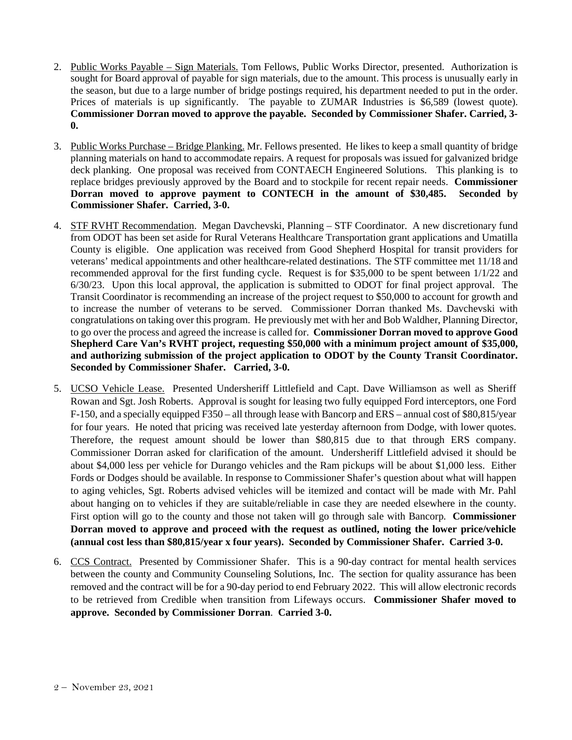- 2. Public Works Payable Sign Materials. Tom Fellows, Public Works Director, presented. Authorization is sought for Board approval of payable for sign materials, due to the amount. This process is unusually early in the season, but due to a large number of bridge postings required, his department needed to put in the order. Prices of materials is up significantly. The payable to ZUMAR Industries is \$6,589 (lowest quote). **Commissioner Dorran moved to approve the payable. Seconded by Commissioner Shafer. Carried, 3- 0.**
- 3. Public Works Purchase Bridge Planking. Mr. Fellows presented. He likes to keep a small quantity of bridge planning materials on hand to accommodate repairs. A request for proposals was issued for galvanized bridge deck planking. One proposal was received from CONTAECH Engineered Solutions. This planking is to replace bridges previously approved by the Board and to stockpile for recent repair needs. **Commissioner Dorran moved to approve payment to CONTECH in the amount of \$30,485. Seconded by Commissioner Shafer. Carried, 3-0.**
- 4. STF RVHT Recommendation. Megan Davchevski, Planning STF Coordinator. A new discretionary fund from ODOT has been set aside for Rural Veterans Healthcare Transportation grant applications and Umatilla County is eligible. One application was received from Good Shepherd Hospital for transit providers for veterans' medical appointments and other healthcare-related destinations. The STF committee met 11/18 and recommended approval for the first funding cycle. Request is for \$35,000 to be spent between 1/1/22 and 6/30/23. Upon this local approval, the application is submitted to ODOT for final project approval. The Transit Coordinator is recommending an increase of the project request to \$50,000 to account for growth and to increase the number of veterans to be served. Commissioner Dorran thanked Ms. Davchevski with congratulations on taking over this program. He previously met with her and Bob Waldher, Planning Director, to go over the process and agreed the increase is called for. **Commissioner Dorran moved to approve Good Shepherd Care Van's RVHT project, requesting \$50,000 with a minimum project amount of \$35,000, and authorizing submission of the project application to ODOT by the County Transit Coordinator. Seconded by Commissioner Shafer. Carried, 3-0.**
- 5. UCSO Vehicle Lease. Presented Undersheriff Littlefield and Capt. Dave Williamson as well as Sheriff Rowan and Sgt. Josh Roberts. Approval is sought for leasing two fully equipped Ford interceptors, one Ford F-150, and a specially equipped F350 – all through lease with Bancorp and ERS – annual cost of \$80,815/year for four years. He noted that pricing was received late yesterday afternoon from Dodge, with lower quotes. Therefore, the request amount should be lower than \$80,815 due to that through ERS company. Commissioner Dorran asked for clarification of the amount. Undersheriff Littlefield advised it should be about \$4,000 less per vehicle for Durango vehicles and the Ram pickups will be about \$1,000 less. Either Fords or Dodges should be available. In response to Commissioner Shafer's question about what will happen to aging vehicles, Sgt. Roberts advised vehicles will be itemized and contact will be made with Mr. Pahl about hanging on to vehicles if they are suitable/reliable in case they are needed elsewhere in the county. First option will go to the county and those not taken will go through sale with Bancorp. **Commissioner Dorran moved to approve and proceed with the request as outlined, noting the lower price/vehicle (annual cost less than \$80,815/year x four years). Seconded by Commissioner Shafer. Carried 3-0.**
- 6. CCS Contract. Presented by Commissioner Shafer. This is a 90-day contract for mental health services between the county and Community Counseling Solutions, Inc. The section for quality assurance has been removed and the contract will be for a 90-day period to end February 2022. This will allow electronic records to be retrieved from Credible when transition from Lifeways occurs. **Commissioner Shafer moved to approve. Seconded by Commissioner Dorran**. **Carried 3-0.**